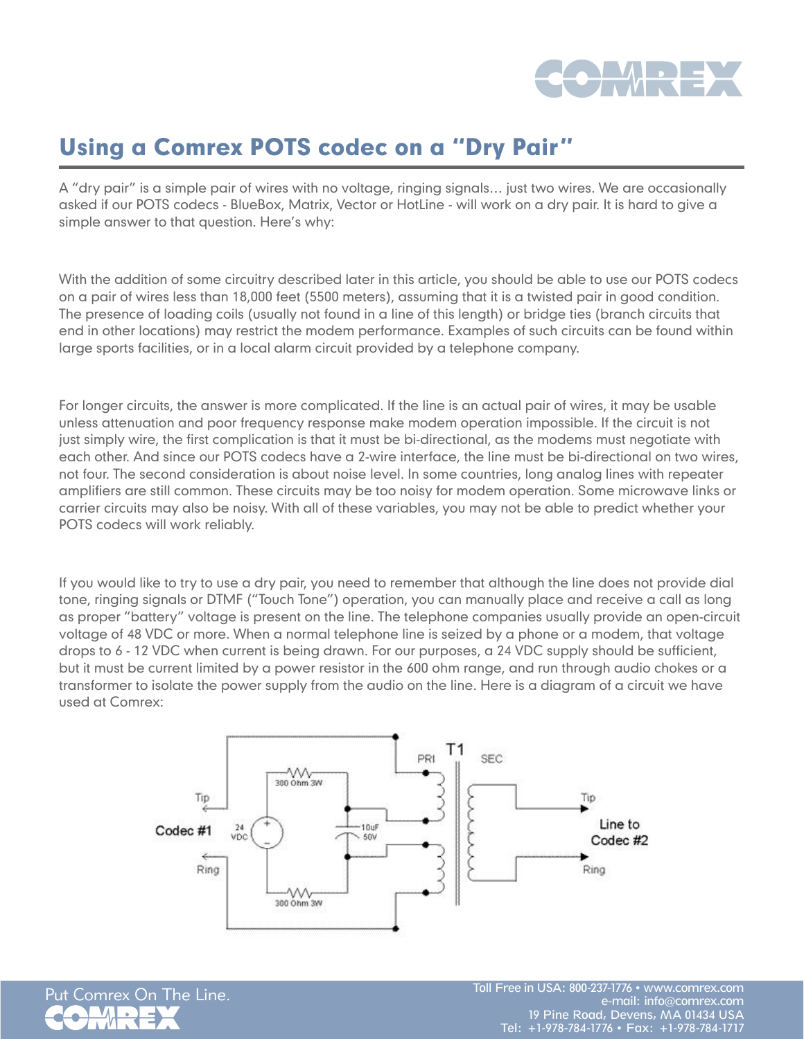

## Using a Comrex POTS codec on a "Dry Pair"

A "dry pair" is a simple pair of wires with no voltage, ringing signals… just two wires. We are occasionally asked if our POTS codecs - BlueBox, Matrix, Vector or HotLine - will work on a dry pair. It is hard to give a simple answer to that question. Here's why:

With the addition of some circuitry described later in this article, you should be able to use our POTS codecs on a pair of wires less than 18,000 feet (5500 meters), assuming that it is a twisted pair in good condition. The presence of loading coils (usually not found in a line of this length) or bridge ties (branch circuits that end in other locations) may restrict the modem performance. Examples of such circuits can be found within large sports facilities, or in a local alarm circuit provided by a telephone company.

For longer circuits, the answer is more complicated. If the line is an actual pair of wires, it may be usable unless attenuation and poor frequency response make modem operation impossible. If the circuit is not just simply wire, the first complication is that it must be bi-directional, as the modems must negotiate with each other. And since our POTS codecs have a 2-wire interface, the line must be bi-directional on two wires, not four. The second consideration is about noise level. In some countries, long analog lines with repeater amplifiers are still common. These circuits may be too noisy for modem operation. Some microwave links or carrier circuits may also be noisy. With all of these variables, you may not be able to predict whether your POTS codecs will work reliably.

If you would like to try to use a dry pair, you need to remember that although the line does not provide dial tone, ringing signals or DTMF ("Touch Tone") operation, you can manually place and receive a call as long as proper "battery" voltage is present on the line. The telephone companies usually provide an open-circuit voltage of 48 VDC or more. When a normal telephone line is seized by a phone or a modem, that voltage drops to 6 - 12 VDC when current is being drawn. For our purposes, a 24 VDC supply should be sufficient, but it must be current limited by a power resistor in the 600 ohm range, and run through audio chokes or a transformer to isolate the power supply from the audio on the line. Here is a diagram of a circuit we have used at Comrex: